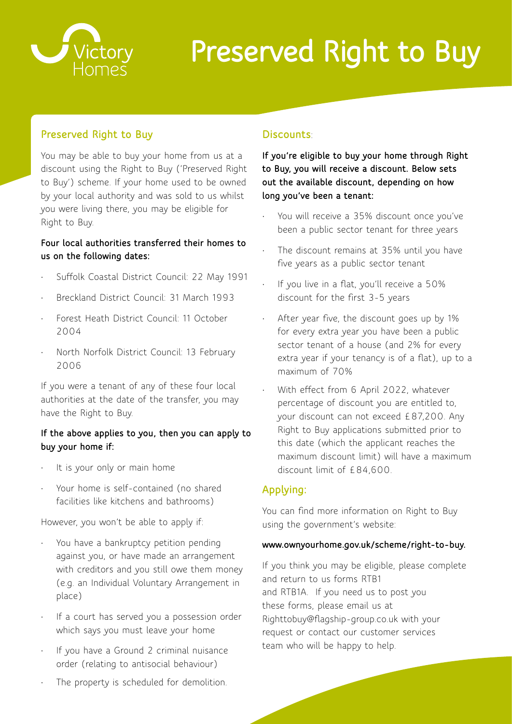

# Preserved Right to Buy

## Preserved Right to Buy

You may be able to buy your home from us at a discount using the Right to Buy ('Preserved Right to Buy') scheme. If your home used to be owned by your local authority and was sold to us whilst you were living there, you may be eligible for Right to Buy.

## Four local authorities transferred their homes to us on the following dates:

- Suffolk Coastal District Council: 22 May 1991
- Breckland District Council: 31 March 1993
- Forest Heath District Council: 11 October 2004
- North Norfolk District Council: 13 February 2006

If you were a tenant of any of these four local authorities at the date of the transfer, you may have the Right to Buy.

## If the above applies to you, then you can apply to buy your home if:

- It is your only or main home
- Your home is self-contained (no shared facilities like kitchens and bathrooms)

However, you won't be able to apply if:

- You have a bankruptcy petition pending against you, or have made an arrangement with creditors and you still owe them money (e.g. an Individual Voluntary Arrangement in place)
- If a court has served you a possession order which says you must leave your home
- If you have a Ground 2 criminal nuisance order (relating to antisocial behaviour)
- The property is scheduled for demolition.

# Discounts:

If you're eligible to buy your home through Right to Buy, you will receive a discount. Below sets out the available discount, depending on how long you've been a tenant:

- You will receive a 35% discount once you've been a public sector tenant for three years
- The discount remains at 35% until you have five years as a public sector tenant
- If you live in a flat, you'll receive a 50% discount for the first 3-5 years
- After year five, the discount goes up by 1% for every extra year you have been a public sector tenant of a house (and 2% for every extra year if your tenancy is of a flat), up to a maximum of 70%
- With effect from 6 April 2022, whatever percentage of discount you are entitled to, your discount can not exceed £87,200. Any Right to Buy applications submitted prior to this date (which the applicant reaches the maximum discount limit) will have a maximum discount limit of £84,600.

## Applying:

You can find more information on Right to Buy using the government's website:

#### www.ownyourhome.gov.uk/scheme/right-to-buy.

If you think you may be eligible, please complete and return to us forms RTB1 and RTB1A. If you need us to post you these forms, please email us at Righttobuy@flagship-group.co.uk with your request or contact our customer services team who will be happy to help.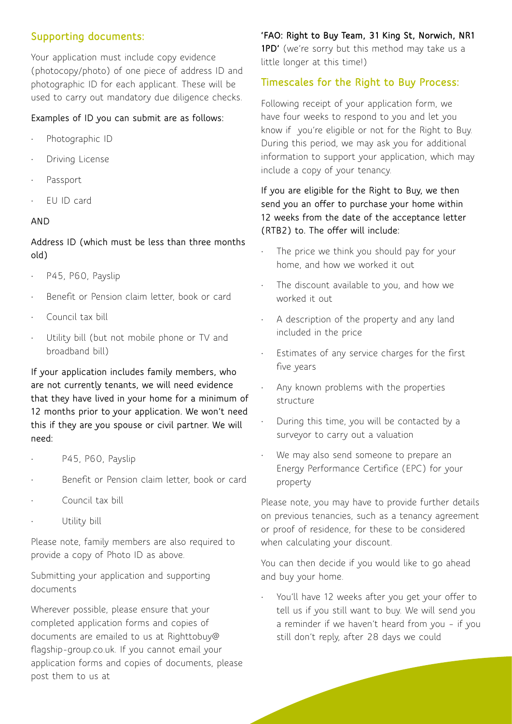## Supporting documents:

Your application must include copy evidence (photocopy/photo) of one piece of address ID and photographic ID for each applicant. These will be used to carry out mandatory due diligence checks.

## **Examples of ID you can submit are as follows:**

- Photographic ID
- Driving License
- Passport
- EU ID card

#### **AND**

**Address ID (which must be less than three months old)** 

- P45, P60, Payslip
- Benefit or Pension claim letter, book or card
- Council tax bill
- Utility bill (but not mobile phone or TV and broadband bill)

**If your application includes family members, who are not currently tenants, we will need evidence that they have lived in your home for a minimum of 12 months prior to your application. We won't need this if they are you spouse or civil partner. We will need:**

- P45, P60, Payslip
- Benefit or Pension claim letter, book or card
- Council tax bill
- Utility bill

Please note, family members are also required to provide a copy of Photo ID as above.

Submitting your application and supporting documents

Wherever possible, please ensure that your completed application forms and copies of documents are emailed to us at Righttobuy@ flagship-group.co.uk. If you cannot email your application forms and copies of documents, please post them to us at

'FAO: Right to Buy Team, 31 King St, Norwich, NR1 1PD' (we're sorry but this method may take us a little longer at this time!)

# Timescales for the Right to Buy Process:

Following receipt of your application form, we have four weeks to respond to you and let you know if you're eligible or not for the Right to Buy. During this period, we may ask you for additional information to support your application, which may include a copy of your tenancy.

**If you are eligible for the Right to Buy, we then send you an offer to purchase your home within 12 weeks from the date of the acceptance letter (RTB2) to. The offer will include:**

- The price we think you should pay for your home, and how we worked it out
- The discount available to you, and how we worked it out
- A description of the property and any land included in the price
- Estimates of any service charges for the first five years
- Any known problems with the properties structure
- During this time, you will be contacted by a surveyor to carry out a valuation
- We may also send someone to prepare an Energy Performance Certifice (EPC) for your property

Please note, you may have to provide further details on previous tenancies, such as a tenancy agreement or proof of residence, for these to be considered when calculating your discount.

You can then decide if you would like to go ahead and buy your home.

• You'll have 12 weeks after you get your offer to tell us if you still want to buy. We will send you a reminder if we haven't heard from you – if you still don't reply, after 28 days we could